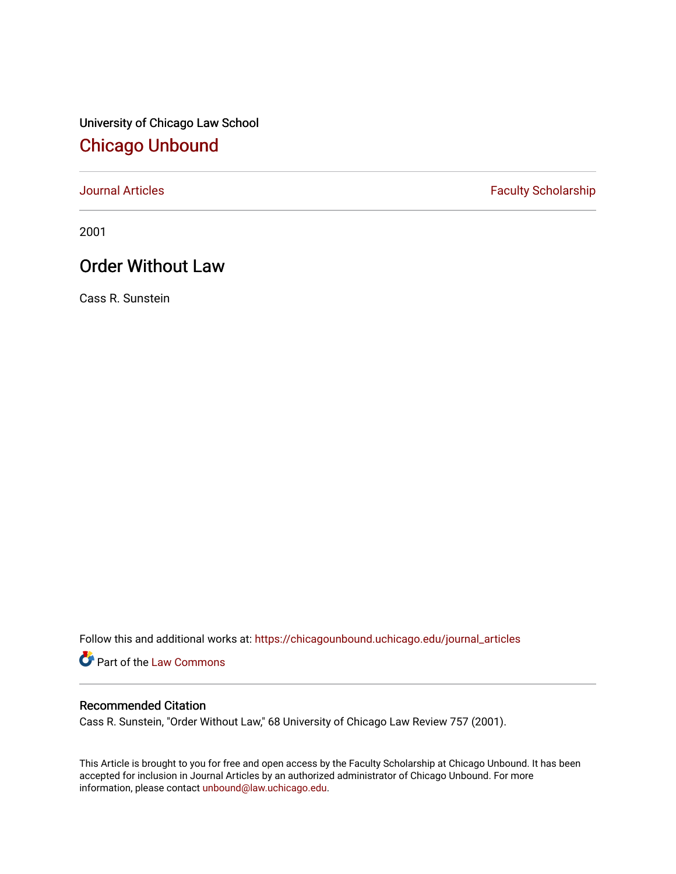University of Chicago Law School [Chicago Unbound](https://chicagounbound.uchicago.edu/)

[Journal Articles](https://chicagounbound.uchicago.edu/journal_articles) **Faculty Scholarship Faculty Scholarship** 

2001

# Order Without Law

Cass R. Sunstein

Follow this and additional works at: [https://chicagounbound.uchicago.edu/journal\\_articles](https://chicagounbound.uchicago.edu/journal_articles?utm_source=chicagounbound.uchicago.edu%2Fjournal_articles%2F8495&utm_medium=PDF&utm_campaign=PDFCoverPages) 

Part of the [Law Commons](http://network.bepress.com/hgg/discipline/578?utm_source=chicagounbound.uchicago.edu%2Fjournal_articles%2F8495&utm_medium=PDF&utm_campaign=PDFCoverPages)

## Recommended Citation

Cass R. Sunstein, "Order Without Law," 68 University of Chicago Law Review 757 (2001).

This Article is brought to you for free and open access by the Faculty Scholarship at Chicago Unbound. It has been accepted for inclusion in Journal Articles by an authorized administrator of Chicago Unbound. For more information, please contact [unbound@law.uchicago.edu](mailto:unbound@law.uchicago.edu).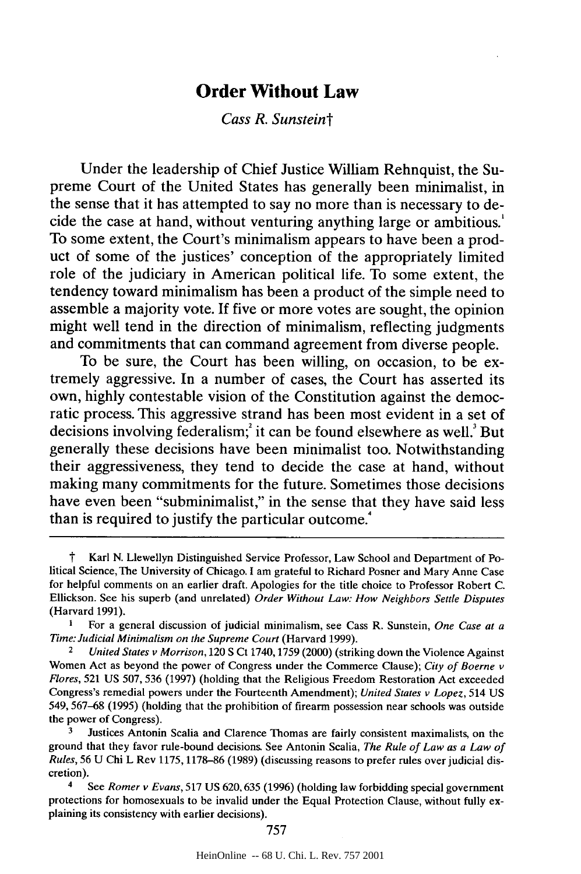# **Order Without Law**

*Cass R. Sunsteint*

Under the leadership of Chief Justice William Rehnquist, the Supreme Court of the United States has generally been minimalist, in the sense that it has attempted to say no more than is necessary to decide the case at hand, without venturing anything large or ambitious.' To some extent, the Court's minimalism appears to have been a product of some of the justices' conception of the appropriately limited role of the judiciary in American political life. To some extent, the tendency toward minimalism has been a product of the simple need to assemble a majority vote. **If** five or more votes are sought, the opinion might well tend in the direction of minimalism, reflecting judgments and commitments that can command agreement from diverse people.

To be sure, the Court has been willing, on occasion, to be extremely aggressive. In a number of cases, the Court has asserted its own, **highly** contestable vision of the Constitution against the democratic process. This aggressive strand has been most evident in a set of decisions involving federalism;<sup>2</sup> it can be found elsewhere as well.<sup>3</sup> But generally these decisions have been minimalist too. Notwithstanding their aggressiveness, they tend to decide the case at hand, without making many commitments for the future. Sometimes those decisions have even been "subminimalist," in the sense that they have said less **<sup>4</sup>** than is required to justify the particular outcome.

Karl N. Llewellyn Distinguished Service Professor, Law School and Department of Political Science, The University of Chicago. I am grateful to Richard Posner and Mary Anne Case for helpful comments on an earlier draft. Apologies for the title choice to Professor Robert C. Ellickson. See his superb (and unrelated) *Order Without Law: How Neighbors Settle Disputes* (Harvard 1991).

**<sup>1</sup>** For a general discussion of judicial minimalism, see Cass R. Sunstein, *One Case at a Time: Judicial Minimalism on the Supreme Court* (Harvard 1999).

<sup>2</sup>*United States v Morrison,* 120 **S** Ct 1740,1759 (2000) (striking down the Violence Against Women Act as beyond the power of Congress under the Commerce Clause); *City of Boerne v Flores,* 521 US 507, 536 (1997) (holding that the Religious Freedom Restoration Act exceeded Congress's remedial powers under the Fourteenth Amendment); *United States v Lopez,* 514 US 549, 567-68 (1995) (holding that the prohibition of firearm possession near schools was outside the power of Congress).

**<sup>3</sup>** Justices Antonin Scalia and Clarence Thomas are fairly consistent maximalists, on the ground that they favor rule-bound decisions. See Antonin Scalia, *The Rule of Law as a Law of Rules,* 56 U Chi L Rev 1175, 1178-86 (1989) (discussing reasons to prefer rules over judicial discretion).

See *Romer v Evans*, 517 US 620, 635 (1996) (holding law forbidding special government protections for homosexuals to be invalid under the Equal Protection Clause, without fully explaining its consistency with earlier decisions).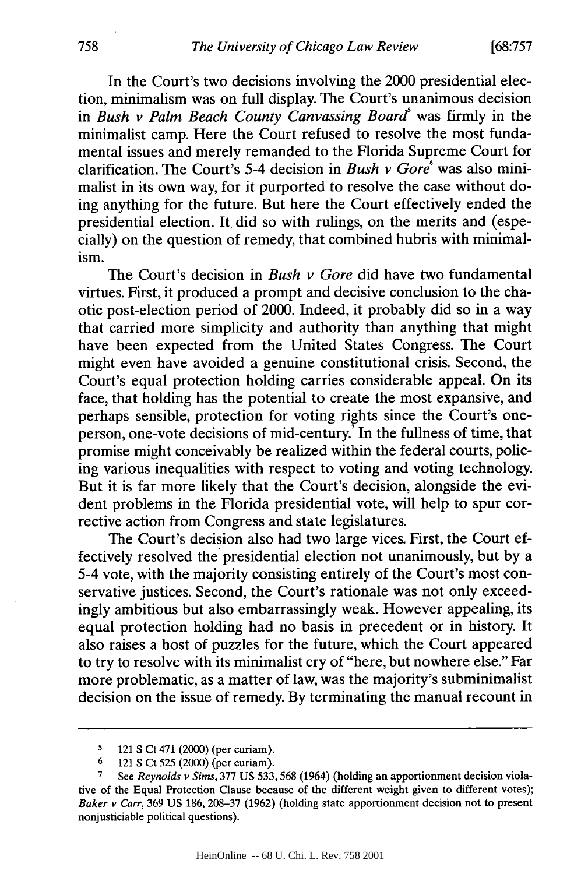In the Court's two decisions involving the 2000 presidential election, minimalism was on full display. The Court's unanimous decision in *Bush v Palm Beach County Canvassing Board* was firmly in the minimalist camp. Here the Court refused to resolve the most fundamental issues and merely remanded to the Florida Supreme Court for clarification. The Court's 5-4 decision in *Bush v Gore'* was also minimalist in its own way, for it purported to resolve the case without doing anything for the future. But here the Court effectively ended the presidential election. It. did so with rulings, on the merits and (especially) on the question of remedy, that combined hubris with minimalism.

The Court's decision in *Bush v Gore* did have two fundamental virtues. First, it produced a prompt and decisive conclusion to the chaotic post-election period of 2000. Indeed, it probably did so in a way that carried more simplicity and authority than anything that might have been expected from the United States Congress. The Court might even have avoided a genuine constitutional crisis. Second, the Court's equal protection holding carries considerable appeal. On its face, that holding has the potential to create the most expansive, and perhaps sensible, protection for voting rights since the Court's oneperson, one-vote decisions of mid-century.<sup> $7$ </sup> In the fullness of time, that promise might conceivably be realized within the federal courts, policing various inequalities with respect to voting and voting technology. But it is far more likely that the Court's decision, alongside the evident problems in the Florida presidential vote, will help to spur corrective action from Congress and state legislatures.

The Court's decision also had two large vices. First, the Court effectively resolved the presidential election not unanimously, but by a 5-4 vote, with the majority consisting entirely of the Court's most conservative justices. Second, the Court's rationale was not only exceedingly ambitious but also embarrassingly weak. However appealing, its equal protection holding had no basis in precedent or in history. It also raises a host of puzzles for the future, which the Court appeared to try to resolve with its minimalist cry of "here, but nowhere else." Far more problematic, as a matter of law, was the majority's subminimalist decision on the issue of remedy. By terminating the manual recount in

**<sup>5</sup>**121 **S** Ct 471 (2000) (per curiam).

**<sup>6</sup>**121 S Ct 525 (2000) (per curiam).

**<sup>7</sup>** See *Reynolds v Sims,* 377 US 533,568 (1964) (holding an apportionment decision violative **of** the Equal Protection Clause because **of** the different weight given to different votes); Baker *v* Carr, 369 US 186, 208-37 (1962) (holding state apportionment decision not to present nonjusticiable political questions).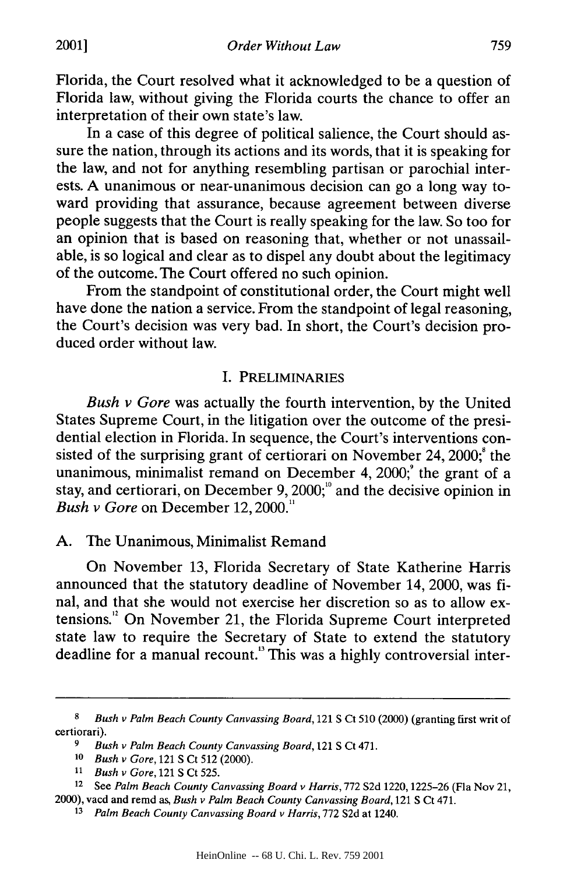Florida, the Court resolved what it acknowledged to be a question of Florida law, without giving the Florida courts the chance to offer an interpretation of their own state's law.

In a case of this degree of political salience, the Court should assure the nation, through its actions and its words, that it is speaking for the law, and not for anything resembling partisan or parochial interests. A unanimous or near-unanimous decision can go a long way toward providing that assurance, because agreement between diverse people suggests that the Court is really speaking for the law. So too for an opinion that is based on reasoning that, whether or not unassailable, is so logical and clear as to dispel any doubt about the legitimacy of the outcome. The Court offered no such opinion.

From the standpoint of constitutional order, the Court might well have done the nation a service. From the standpoint of legal reasoning, the Court's decision was very bad. In short, the Court's decision produced order without law.

#### I. PRELIMINARIES

*Bush v Gore* was actually the fourth intervention, by the United States Supreme Court, in the litigation over the outcome of the presidential election in Florida. In sequence, the Court's interventions consisted of the surprising grant of certiorari on November 24,  $2000$ ; the unanimous, minimalist remand on December 4, 2000;' the grant of a stay, and certiorari, on December 9, 2000;<sup>10</sup> and the decisive opinion in *Bush v Gore* on December  $12,2000$ .<sup>11</sup>

A. The Unanimous, Minimalist Remand

On November 13, Florida Secretary of State Katherine Harris announced that the statutory deadline of November 14, 2000, was final, and that she would not exercise her discretion so as to allow extensions.<sup>12</sup> On November 21, the Florida Supreme Court interpreted state law to require the Secretary of State to extend the statutory deadline for a manual recount." This was a highly controversial inter-

**<sup>8</sup>**Bush v Palm Beach County Canvassing Board, 121 S Ct 510 (2000) (granting first writ of certiorari).

**<sup>9</sup>** Bush v Palm Beach County Canvassing Board, 121 **S** Ct 471.

**<sup>10</sup>** Bush v Gore, 121 **S** Ct 512 (2000).

**<sup>11</sup>** Bush v Gore, 121 **S** Ct 525.

<sup>&</sup>lt;sup>12</sup> See Palm Beach County Canvassing Board v Harris, 772 S2d 1220, 1225-26 (Fla Nov 21, 2000), vacd and remd as, Bush v Palm Beach County Canvassing Board, 121 **S** Ct 471.

**<sup>13</sup>**Palm Beach County Canvassing Board v Harris, 772 **S2d** at 1240.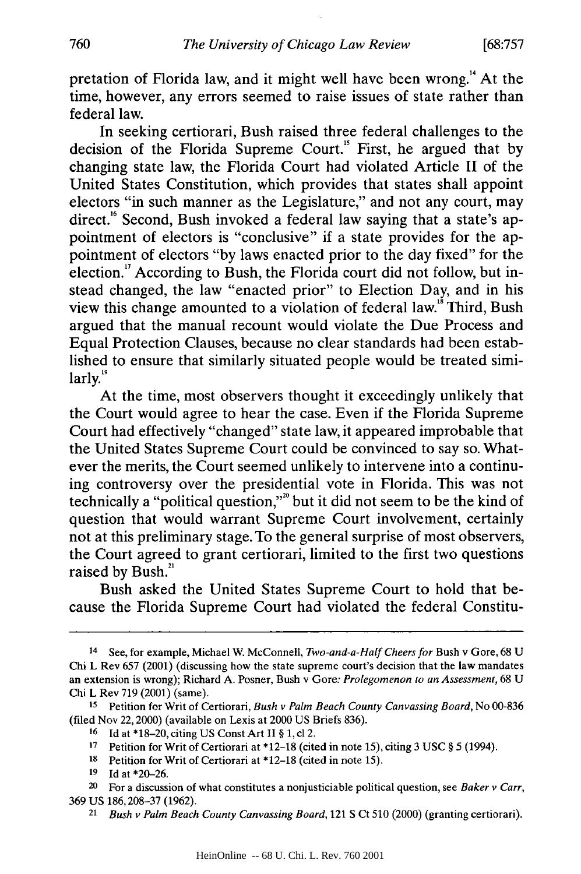pretation of Florida law, and it might well have been wrong." At the time, however, any errors seemed to raise issues of state rather than federal law.

In seeking certiorari, Bush raised three federal challenges to the decision of the Florida Supreme Court." First, he argued that by changing state law, the Florida Court had violated Article II of the United States Constitution, which provides that states shall appoint electors "in such manner as the Legislature," and not any court, may direct.<sup>"</sup> Second, Bush invoked a federal law saying that a state's appointment of electors is "conclusive" if a state provides for the appointment of electors "by laws enacted prior to the day fixed" for the election." According to Bush, the Florida court did not follow, but instead changed, the law "enacted prior" to Election Day, and in his view this change amounted to a violation of federal law.<sup>8</sup> Third, Bush argued that the manual recount would violate the Due Process and Equal Protection Clauses, because no clear standards had been established to ensure that similarly situated people would be treated similarly."

At the time, most observers thought it exceedingly unlikely that the Court would agree to hear the case. Even if the Florida Supreme Court had effectively "changed" state law, it appeared improbable that the United States Supreme Court could be convinced to say so. Whatever the merits, the Court seemed unlikely to intervene into a continuing controversy over the presidential vote in Florida. This was not technically a "political question,""° but it did not seem to be the kind of question that would warrant Supreme Court involvement, certainly not at this preliminary stage. To the general surprise of most observers, the Court agreed to grant certiorari, limited to the first two questions raised by Bush.<sup>21</sup>

Bush asked the United States Supreme Court to hold that because the Florida Supreme Court had violated the federal Constitu-

- 18 Petition for Writ of Certiorari at \*12-18 (cited in note 15).
- **<sup>19</sup>**Id at **\*20-26.**

<sup>14</sup> See, for example, Michael W. McConnell, *Two-and-a-Half Cheers for* Bush v Gore, 68 U Chi L Rev 657 (2001) (discussing how the state supreme court's decision that the law mandates an extension is wrong); Richard A. Posner, Bush v Gore: *Prolegomenon to an Assessment,* 68 U Chi L Rev 719 (2001) (same).

**<sup>15</sup>**Petition for Writ of Certiorari, *Bush v Palm Beach County Canvassing Board,* No 00-836 (filed Nov 22,2000) (available on Lexis at 2000 US Briefs 836).

**<sup>16</sup>**Id at \*18-20, citing US Const Art II § 1, cl 2.

<sup>17</sup> Petition for Writ of Certiorari at \*12-18 (cited in note 15), citing 3 USC § 5 (1994).

<sup>20</sup> For a discussion of what constitutes a nonjusticiable political question, see *Baker v Carr,* 369 US 186,208-37 (1962). *21 Bush v Palm Beach County Canvassing Board,* 121 **S** Ct 510 (2000) (granting certiorari).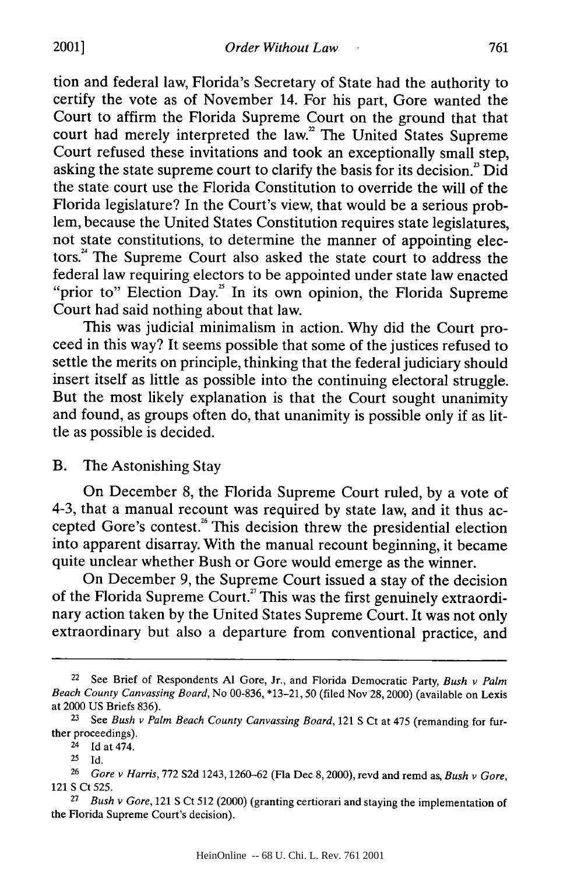tion and federal law, Florida's Secretary of State had the authority to certify the vote as of November 14. For his part, Gore wanted the Court to affirm the Florida Supreme Court on the ground that that court had merely interpreted the law.<sup>2</sup> The United States Supreme Court refused these invitations and took an exceptionally small step, asking the state supreme court to clarify the basis for its decision.<sup>2</sup> Did the state court use the Florida Constitution to override the will of the Florida legislature? In the Court's view, that would be a serious problem, because the United States Constitution requires state legislatures, not state constitutions, to determine the manner of appointing electors." The Supreme Court also asked the state court to address the federal law requiring electors to be appointed under state law enacted "prior to" Election Day.<sup>2</sup> In its own opinion, the Florida Supreme Court had said nothing about that law.

This was judicial minimalism in action. Why did the Court proceed in this way? It seems possible that some of the justices refused to settle the merits on principle, thinking that the federal judiciary should insert itself as little as possible into the continuing electoral struggle. But the most likely explanation is that the Court sought unanimity and found, as groups often do, that unanimity is possible only if as little as possible is decided.

B. The Astonishing Stay

On December 8, the Florida Supreme Court ruled, by a vote of 4-3, that a manual recount was required by state law, and it thus accepted Gore's contest.<sup>26</sup> This decision threw the presidential election into apparent disarray. With the manual recount beginning, it became quite unclear whether Bush or Gore would emerge as the winner.

On December 9, the Supreme Court issued a stay of the decision of the Florida Supreme Court.<sup>7</sup> This was the first genuinely extraordinary action taken by the United States Supreme Court. It was not only extraordinary but also a departure from conventional practice, and

<sup>22</sup>See Brief of Respondents **Al** Gore, Jr., and Florida Democratic Party, *Bush v Palm Beach County Canvassing Board,* No 00-836, \*13-21, **50** (filed Nov 28,2000) (available on Lexis at 2000 US Briefs 836).

**<sup>23</sup>**See *Bush v Palm Beach County Canvassing Board,* 121 **S** Ct at 475 (remanding for further proceedings).

<sup>24</sup>**Id** at 474.

**<sup>25</sup>** Id.

**<sup>26</sup>***Gore v Harris,* 772 **S2d** 1243, 1260-62 (Fla Dec 8,2000), revd and remd as, *Bush v Gore,* 121 **S** Ct 525.

**<sup>27</sup>***Bush v Gore,* 121 **S** Ct 512 (2000) (granting certiorari and staying the implementation of the Florida Supreme Court's decision).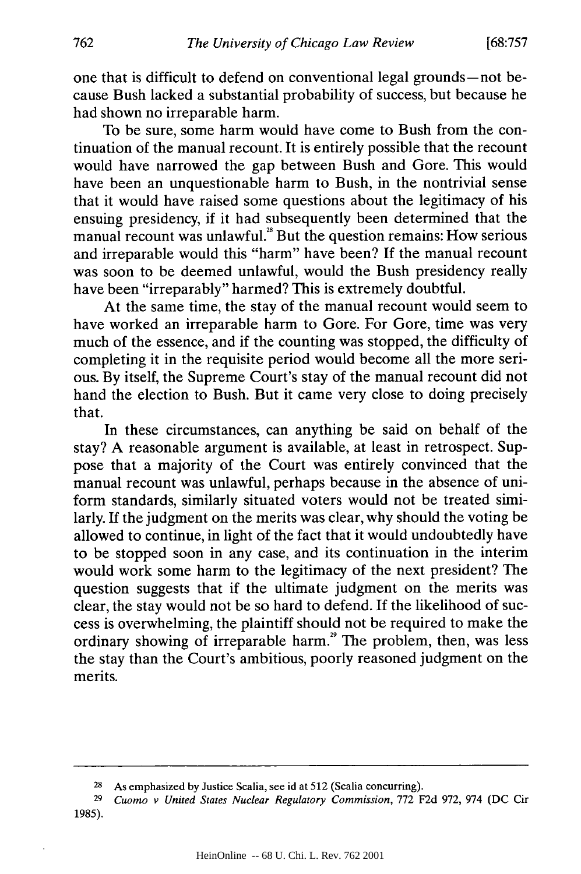one that is difficult to defend on conventional legal grounds-not because Bush lacked a substantial probability of success, but because he had shown no irreparable harm.

To be sure, some harm would have come to Bush from the continuation of the manual recount. It is entirely possible that the recount would have narrowed the gap between Bush and Gore. This would have been an unquestionable harm to Bush, in the nontrivial sense that it would have raised some questions about the legitimacy of his ensuing presidency, if it had subsequently been determined that the manual recount was unlawful.<sup>28</sup> But the question remains: How serious and irreparable would this "harm" have been? If the manual recount was soon to be deemed unlawful, would the Bush presidency really have been "irreparably" harmed? This is extremely doubtful.

At the same time, the stay of the manual recount would seem to have worked an irreparable harm to Gore. For Gore, time was very much of the essence, and if the counting was stopped, the difficulty of completing it in the requisite period would become all the more serious. By itself, the Supreme Court's stay of the manual recount did not hand the election to Bush. But it came very close to doing precisely that.

In these circumstances, can anything be said on behalf of the stay? A reasonable argument is available, at least in retrospect. Suppose that a majority of the Court was entirely convinced that the manual recount was unlawful, perhaps because in the absence of uniform standards, similarly situated voters would not be treated similarly. If the judgment on the merits was clear, why should the voting be allowed to continue, in light of the fact that it would undoubtedly have to be stopped soon in any case, and its continuation in the interim would work some harm to the legitimacy of the next president? The question suggests that if the ultimate judgment on the merits was clear, the stay would not be so hard to defend. If the likelihood of success is overwhelming, the plaintiff should not be required to make the ordinary showing of irreparable harm.<sup>29</sup> The problem, then, was less the stay than the Court's ambitious, poorly reasoned judgment on the merits.

**<sup>28</sup>**As emphasized by Justice Scalia, see id at **512** (Scalia concurring).

<sup>29</sup>*Cuomo v United States Nuclear Regulatory Commission,* 772 F2d 972, 974 (DC Cir 1985).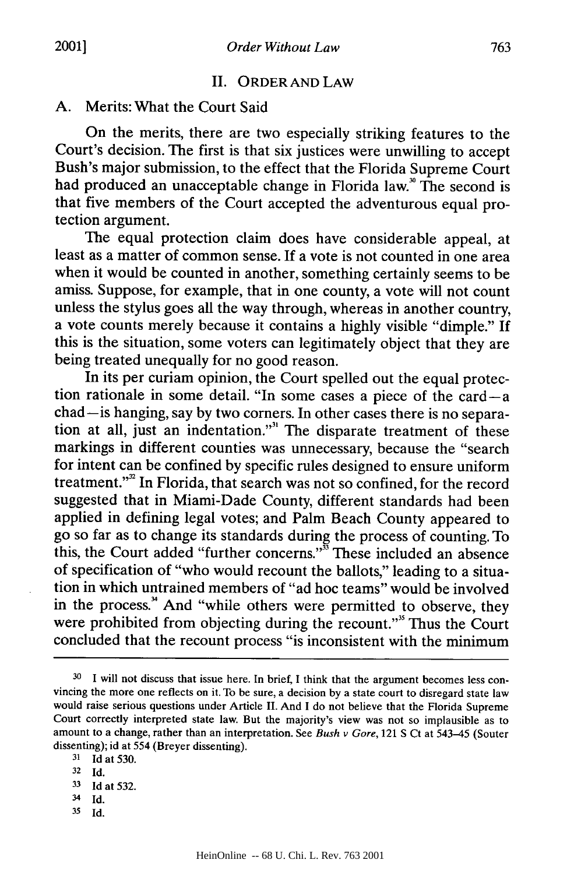## II. ORDER AND LAW

#### A. Merits: What the Court Said

On the merits, there are two especially striking features to the Court's decision. The first is that six justices were unwilling to accept Bush's major submission, to the effect that the Florida Supreme Court had produced an unacceptable change in Florida law." The second is that five members of the Court accepted the adventurous equal protection argument.

The equal protection claim does have considerable appeal, at least as a matter of common sense. If a vote is not counted in one area when it would be counted in another, something certainly seems to be amiss. Suppose, for example, that in one county, a vote will not count unless the stylus goes all the way through, whereas in another country, a vote counts merely because it contains a highly visible "dimple." If this is the situation, some voters can legitimately object that they are being treated unequally for no good reason.

In its per curiam opinion, the Court spelled out the equal protection rationale in some detail. "In some cases a piece of the card-a chad **-is** hanging, say by two corners. In other cases there is no separation at all, just an indentation."'" The disparate treatment of these markings in different counties was unnecessary, because the "search for intent can be confined by specific rules designed to ensure uniform treatment."<sup>2</sup> In Florida, that search was not so confined, for the record suggested that in Miami-Dade County, different standards had been applied in defining legal votes; and Palm Beach County appeared to go so far as to change its standards during the process of counting. To this, the Court added "further concerns."<sup>35</sup> These included an absence of specification of "who would recount the ballots," leading to a situation in which untrained members of "ad hoc teams" would be involved in the process.<sup>3</sup> And "while others were permitted to observe, they were prohibited from objecting during the recount."<sup>35</sup> Thus the Court concluded that the recount process "is inconsistent with the minimum

**<sup>31</sup>**Id at 530.

- **<sup>32</sup>**Id.
- **33** Id at 532.
- 34 Id.
- **35** Id.

**<sup>30</sup>** I will not discuss that issue here. In brief, I think that the argument becomes less convincing the more one reflects on it. To be sure, a decision by a state court to disregard state law would raise serious questions under Article II. And I do not believe that the Florida Supreme Court correctly interpreted state law. But the majority's view was not so implausible as to amount to a change, rather than an interpretation. See Bush v Gore, 121 **S** Ct at 543-45 (Souter dissenting); id at 554 (Breyer dissenting).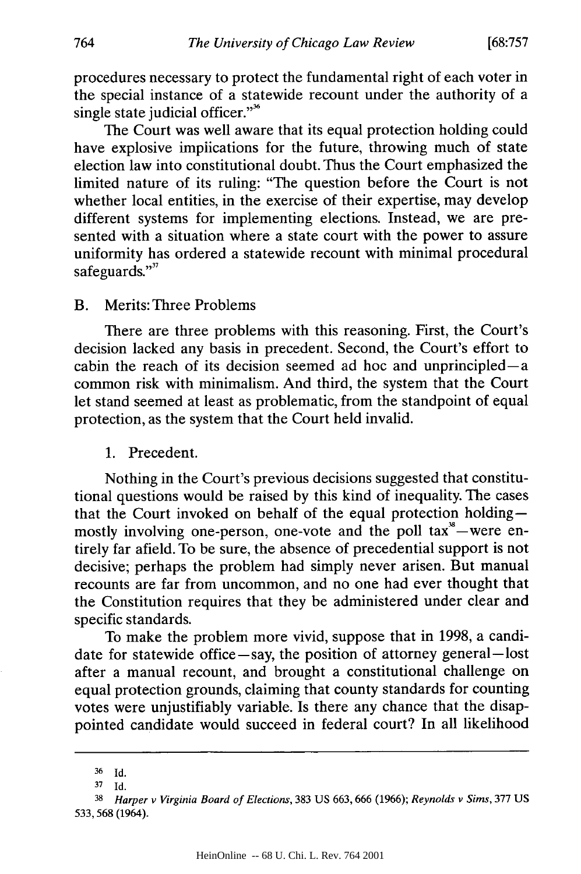procedures necessary to protect the fundamental right of each voter in the special instance of a statewide recount under the authority of a single state judicial officer."<sup>56</sup>

The Court was well aware that its equal protection holding could have explosive impiications for the future, throwing much of state election law into constitutional doubt. Thus the Court emphasized the limited nature of its ruling: "The question before the Court is not whether local entities, in the exercise of their expertise, may develop different systems for implementing elections. Instead, we are presented with a situation where a state court with the power to assure uniformity has ordered a statewide recount with minimal procedural safeguards."<sup>37</sup>

#### B. Merits: Three Problems

There are three problems with this reasoning. First, the Court's decision lacked any basis in precedent. Second, the Court's effort to cabin the reach of its decision seemed ad hoc and unprincipled-a common risk with minimalism. And third, the system that the Court let stand seemed at least as problematic, from the standpoint of equal protection, as the system that the Court held invalid.

#### 1. Precedent.

Nothing in the Court's previous decisions suggested that constitutional questions would be raised by this kind of inequality. The cases that the Court invoked on behalf of the equal protection holdingmostly involving one-person, one-vote and the poll  $\text{tax}^*$ -were entirely far afield. To be sure, the absence of precedential support is not decisive; perhaps the problem had simply never arisen. But manual recounts are far from uncommon, and no one had ever thought that the Constitution requires that they be administered under clear and specific standards.

To make the problem more vivid, suppose that in 1998, a candidate for statewide office-say, the position of attorney general-lost after a manual recount, and brought a constitutional challenge on equal protection grounds, claiming that county standards for counting votes were unjustifiably variable. Is there any chance that the disappointed candidate would succeed in federal court? In all likelihood

**<sup>36</sup>**Id.

**<sup>37</sup>** Id.

*<sup>38</sup>Harper v Virginia Board of Elections,* 383 US 663,666 (1966); *Reynolds v Sims,* 377 US 533,568 (1964).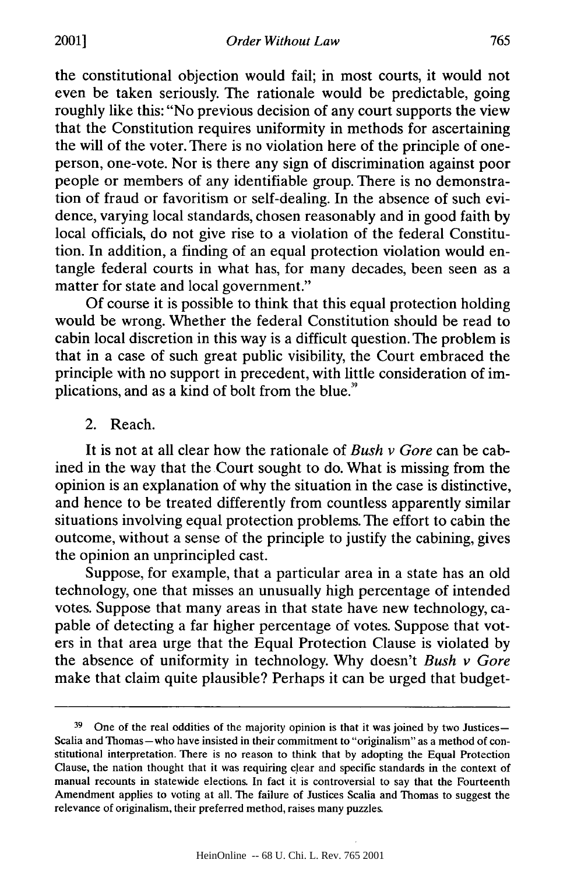20011

the constitutional objection would fail; in most courts, it would not even be taken seriously. The rationale would be predictable, going roughly like this: "No previous decision of any court supports the view that the Constitution requires uniformity in methods for ascertaining the will of the voter. There is no violation here of the principle of oneperson, one-vote. Nor is there any sign of discrimination against poor people or members of any identifiable group. There is no demonstration of fraud or favoritism or self-dealing. In the absence of such evidence, varying local standards, chosen reasonably and in good faith by local officials, do not give rise to a violation of the federal Constitution. In addition, a finding of an equal protection violation would entangle federal courts in what has, for many decades, been seen as a matter for state and local government."

Of course it is possible to think that this equal protection holding would be wrong. Whether the federal Constitution should be read to cabin local discretion in this way is a difficult question. The problem is that in a case of such great public visibility, the Court embraced the principle with no support in precedent, with little consideration of implications, and as a kind of bolt from the blue."

2. Reach.

It is not at all clear how the rationale of *Bush v Gore* can be cabined in the way that the Court sought to do. What is missing from the opinion is an explanation of why the situation in the case is distinctive, and hence to be treated differently from countless apparently similar situations involving equal protection problems. The effort to cabin the outcome, without a sense of the principle to justify the cabining, gives the opinion an unprincipled cast.

Suppose, for example, that a particular area in a state has an old technology, one that misses an unusually high percentage of intended votes. Suppose that many areas in that state have new technology, capable of detecting a far higher percentage of votes. Suppose that voters in that area urge that the Equal Protection Clause is violated by the absence of uniformity in technology. Why doesn't *Bush v Gore* make that claim quite plausible? Perhaps it can be urged that budget-

<sup>&</sup>lt;sup>39</sup> One of the real oddities of the majority opinion is that it was joined by two Justices-Scalia and Thomas-who have insisted in their commitment to "originalism" as a method of constitutional interpretation. There is no reason to think that by adopting the Equal Protection Clause, the nation thought that it was requiring clear and specific standards in the context of manual recounts in statewide elections. In fact it is controversial to say that the Fourteenth Amendment applies to voting at all. The failure of Justices Scalia and Thomas to suggest the relevance of originalism, their preferred method, raises many puzzles.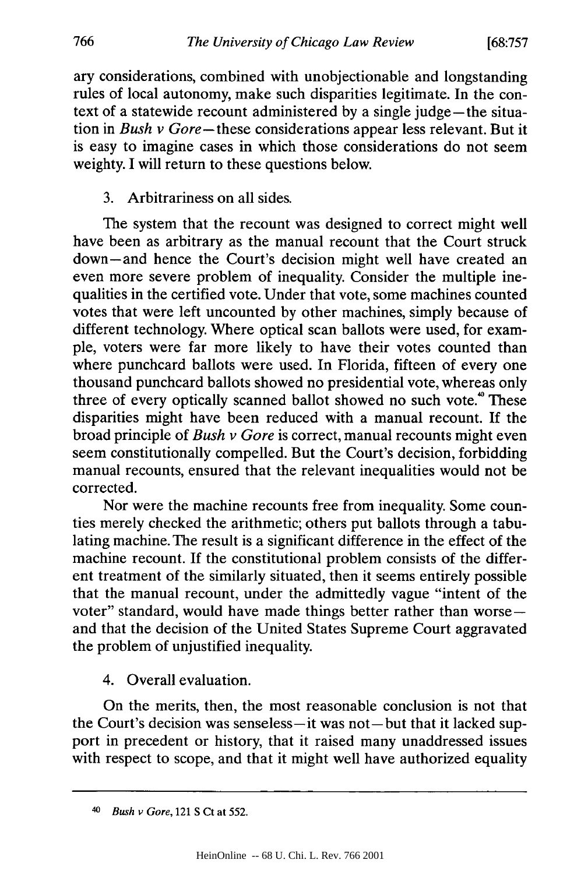ary considerations, combined with unobjectionable and longstanding rules of local autonomy, make such disparities legitimate. In the context of a statewide recount administered by a single judge—the situation in *Bush v Gore-these* considerations appear less relevant. But it is easy to imagine cases in which those considerations do not seem weighty. I will return to these questions below.

## 3. Arbitrariness on all sides.

The system that the recount was designed to correct might well have been as arbitrary as the manual recount that the Court struck down-and hence the Court's decision might well have created an even more severe problem of inequality. Consider the multiple inequalities in the certified vote. Under that vote, some machines counted votes that were left uncounted by other machines, simply because of different technology. Where optical scan ballots were used, for example, voters were far more likely to have their votes counted than where punchcard ballots were used. In Florida, fifteen of every one thousand punchcard ballots showed no presidential vote, whereas only three of every optically scanned ballot showed no such vote.<sup>40</sup> These disparities might have been reduced with a manual recount. If the broad principle of *Bush v Gore* is correct, manual recounts might even seem constitutionally compelled. But the Court's decision, forbidding manual recounts, ensured that the relevant inequalities would not be corrected.

Nor were the machine recounts free from inequality. Some counties merely checked the arithmetic; others put ballots through a tabulating machine. The result is a significant difference in the effect of the machine recount. If the constitutional problem consists of the different treatment of the similarly situated, then it seems entirely possible that the manual recount, under the admittedly vague "intent of the voter" standard, would have made things better rather than worse and that the decision of the United States Supreme Court aggravated the problem of unjustified inequality.

4. Overall evaluation.

On the merits, then, the most reasonable conclusion is not that the Court's decision was senseless-it was not- but that it lacked support in precedent or history, that it raised many unaddressed issues with respect to scope, and that it might well have authorized equality

*<sup>40</sup>* Bush v Gore, 121 **S** Ct at 552.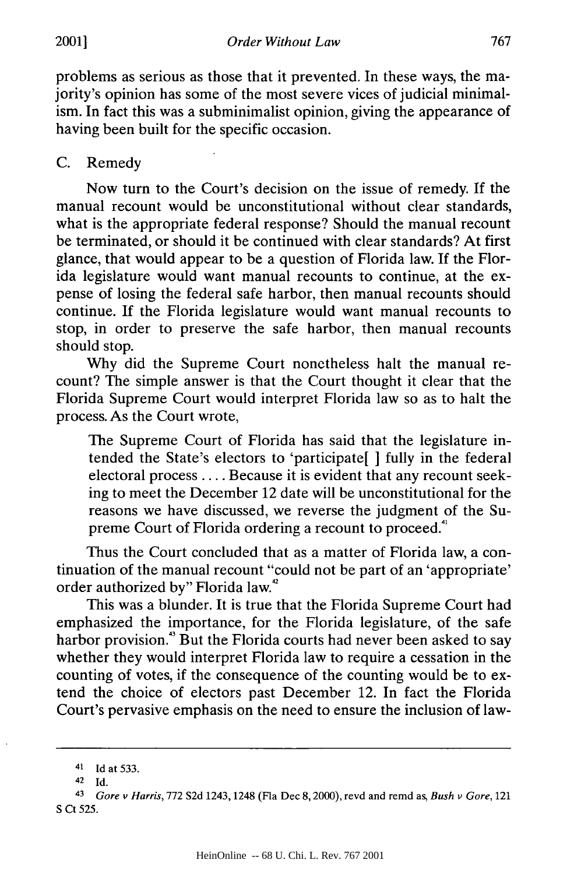problems as serious as those that it prevented. In these ways, the majority's opinion has some of the most severe vices of judicial minimalism. In fact this was a subminimalist opinion, giving the appearance of having been built for the specific occasion.

#### C. Remedy

Now turn to the Court's decision on the issue of remedy. If the manual recount would be unconstitutional without clear standards, what is the appropriate federal response? Should the manual recount be terminated, or should it be continued with clear standards? At first glance, that would appear to be a question of Florida law. If the Florida legislature would want manual recounts to continue, at the expense of losing the federal safe harbor, then manual recounts should continue. If the Florida legislature would want manual recounts to stop, in order to preserve the safe harbor, then manual recounts should stop.

Why did the Supreme Court nonetheless halt the manual recount? The simple answer is that the Court thought it clear that the Florida Supreme Court would interpret Florida law so as to halt the process. As the Court wrote,

The Supreme Court of Florida has said that the legislature intended the State's electors to 'participate[ ] fully in the federal electoral process .... Because it is evident that any recount seeking to meet the December 12 date will be unconstitutional for the reasons we have discussed, we reverse the judgment of the Supreme Court of Florida ordering a recount to proceed.

Thus the Court concluded that as a matter of Florida law, a continuation of the manual recount "could not be part of an 'appropriate' order authorized by" Florida law.

This was a blunder. It is true that the Florida Supreme Court had emphasized the importance, for the Florida legislature, of the safe harbor provision.<sup>43</sup> But the Florida courts had never been asked to say whether they would interpret Florida law to require a cessation in the counting of votes, if the consequence of the counting would be to extend the choice of electors past December 12. In fact the Florida Court's pervasive emphasis on the need to ensure the inclusion of law-

20011

<sup>41</sup> Id at 533.

**<sup>42</sup>Id.**

*<sup>43</sup>Gore v Harris,* 772 **S2d** 1243, 1248 (Fla Dec 8,2000), revd and remd as, *Bush v Gore,* <sup>121</sup> **S** Ct 525.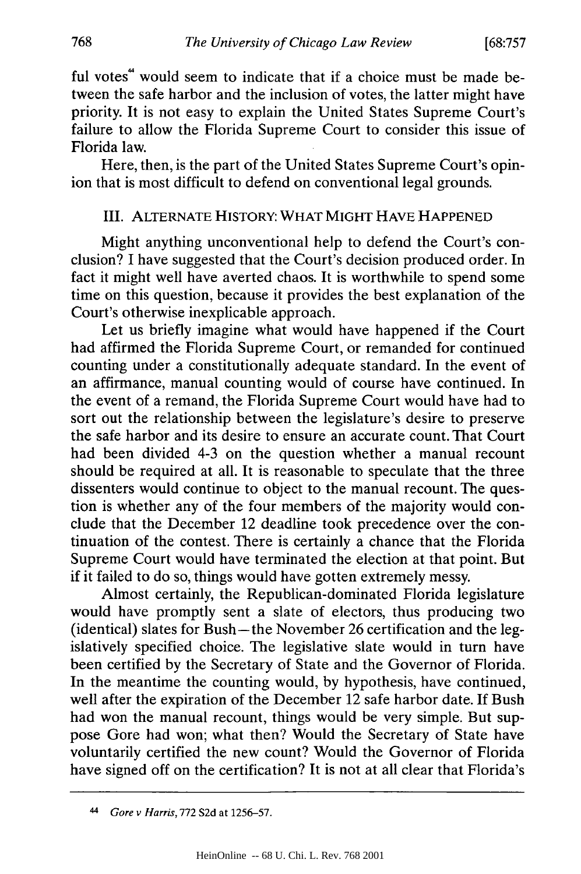**[68:757**

ful votes" would seem to indicate that if a choice must be made between the safe harbor and the inclusion of votes, the latter might have priority. It is not easy to explain the United States Supreme Court's failure to allow the Florida Supreme Court to consider this issue of Florida law.

Here, then, is the part of the United States Supreme Court's opinion that is most difficult to defend on conventional legal grounds.

## III. ALTERNATE HISTORY: WHAT MIGHT HAVE HAPPENED

Might anything unconventional help to defend the Court's conclusion? I have suggested that the Court's decision produced order. In fact it might well have averted chaos. It is worthwhile to spend some time on this question, because it provides the best explanation of the Court's otherwise inexplicable approach.

Let us briefly imagine what would have happened if the Court had affirmed the Florida Supreme Court, or remanded for continued counting under a constitutionally adequate standard. In the event of an affirmance, manual counting would of course have continued. In the event of a remand, the Florida Supreme Court would have had to sort out the relationship between the legislature's desire to preserve the safe harbor and its desire to ensure an accurate count. That Court had been divided 4-3 on the question whether a manual recount should be required at all. It is reasonable to speculate that the three dissenters would continue to object to the manual recount. The question is whether any of the four members of the majority would conclude that the December 12 deadline took precedence over the continuation of the contest. There is certainly a chance that the Florida Supreme Court would have terminated the election at that point. But if it failed to do so, things would have gotten extremely messy.

Almost certainly, the Republican-dominated Florida legislature would have promptly sent a slate of electors, thus producing two (identical) slates for Bush-the November 26 certification and the legislatively specified choice. The legislative slate would in turn have been certified by the Secretary of State and the Governor of Florida. In the meantime the counting would, by hypothesis, have continued, well after the expiration of the December 12 safe harbor date. If Bush had won the manual recount, things would be very simple. But suppose Gore had won; what then? Would the Secretary of State have voluntarily certified the new count? Would the Governor of Florida have signed off on the certification? It is not at all clear that Florida's

HeinOnline -- 68 U. Chi. L. Rev. 768 2001

*<sup>44</sup> Gore v Harris,* 772 **S2d** at 1256-57.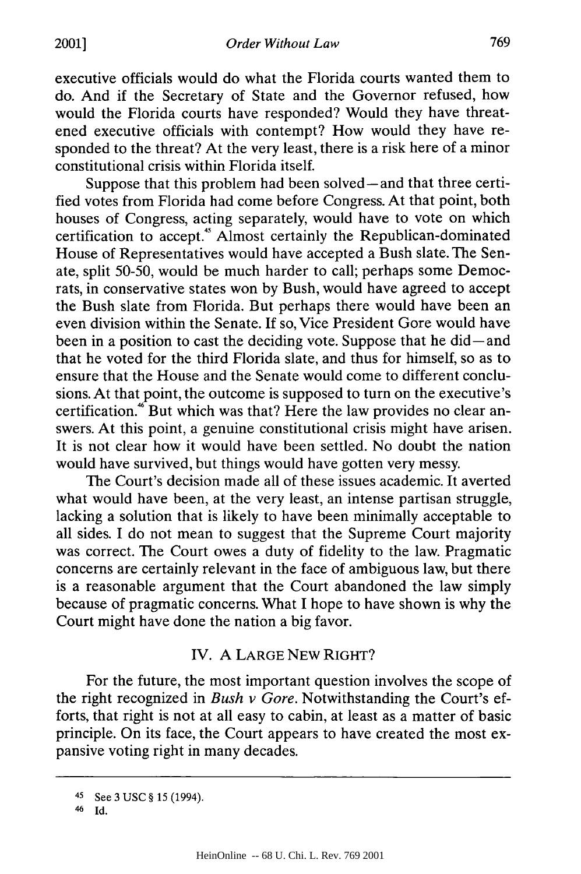executive officials would do what the Florida courts wanted them to do. And if the Secretary of State and the Governor refused, how would the Florida courts have responded? Would they have threatened executive officials with contempt? How would they have responded to the threat? At the very least, there is a risk here of a minor constitutional crisis within Florida itself.

Suppose that this problem had been solved-and that three certified votes from Florida had come before Congress. At that point, both houses of Congress, acting separately, would have to vote on which certification to accept.<sup>45</sup> Almost certainly the Republican-dominated House of Representatives would have accepted a Bush slate. The Senate, split 50-50, would be much harder to call; perhaps some Democrats, in conservative states won by Bush, would have agreed to accept the Bush slate from Florida. But perhaps there would have been an even division within the Senate. If so, Vice President Gore would have been in a position to cast the deciding vote. Suppose that he did—and that he voted for the third Florida slate, and thus for himself, so as to ensure that the House and the Senate would come to different conclusions. At that point, the outcome is supposed to turn on the executive's certification.<sup>46</sup> But which was that? Here the law provides no clear answers. At this point, a genuine constitutional crisis might have arisen. It is not clear how it would have been settled. No doubt the nation would have survived, but things would have gotten very messy.

The Court's decision made all of these issues academic. It averted what would have been, at the very least, an intense partisan struggle, lacking a solution that is likely to have been minimally acceptable to all sides. I do not mean to suggest that the Supreme Court majority was correct. The Court owes a duty of fidelity to the law. Pragmatic concerns are certainly relevant in the face of ambiguous law, but there is a reasonable argument that the Court abandoned the law simply because of pragmatic concerns. What I hope to have shown is why the Court might have done the nation a big favor.

## IV. A LARGE NEW RIGHT?

For the future, the most important question involves the scope of the right recognized in *Bush v Gore.* Notwithstanding the Court's efforts, that right is not at all easy to cabin, at least as a matter of basic principle. On its face, the Court appears to have created the most expansive voting right in many decades.

<sup>45</sup> See **3 USC** § **15** (1994).

<sup>46</sup> **Id.**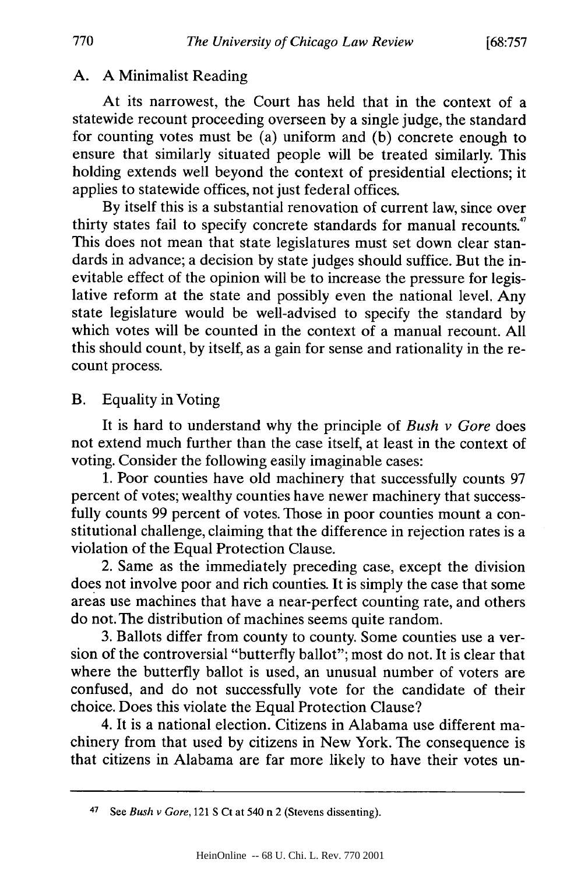## A. A Minimalist Reading

At its narrowest, the Court has held that in the context of a statewide recount proceeding overseen by a single judge, the standard for counting votes must be (a) uniform and (b) concrete enough to ensure that similarly situated people will be treated similarly. This holding extends well beyond the context of presidential elections; it applies to statewide offices, not just federal offices.

By itself this is a substantial renovation of current law, since over thirty states fail to specify concrete standards for manual recounts.<sup>47</sup> This does not mean that state legislatures must set down clear standards in advance; a decision by state judges should suffice. But the inevitable effect of the opinion will be to increase the pressure for legislative reform at the state and possibly even the national level. Any state legislature would be well-advised to specify the standard by which votes will be counted in the context of a manual recount. All this should count, by itself, as a gain for sense and rationality in the recount process.

#### B. Equality in Voting

It is hard to understand why the principle of *Bush v Gore* does not extend much further than the case itself, at least in the context of voting. Consider the following easily imaginable cases:

1. Poor counties have old machinery that successfully counts 97 percent of votes; wealthy counties have newer machinery that successfully counts 99 percent of votes. Those in poor counties mount a constitutional challenge, claiming that the difference in rejection rates is a violation of the Equal Protection Clause.

2. Same as the immediately preceding case, except the division does not involve poor and rich counties. It is simply the case that some areas use machines that have a near-perfect counting rate, and others do not. The distribution of machines seems quite random.

3. Ballots differ from county to county. Some counties use a version of the controversial "butterfly ballot"; most do not. It is clear that where the butterfly ballot is used, an unusual number of voters are confused, and do not successfully vote for the candidate of their choice. Does this violate the Equal Protection Clause?

4. It is a national election. Citizens in Alabama use different machinery from that used by citizens in New York. The consequence is that citizens in Alabama are far more likely to have their votes un-

<sup>47</sup> See Bush v Gore, 121 **S** Ct at 540 n 2 (Stevens dissenting).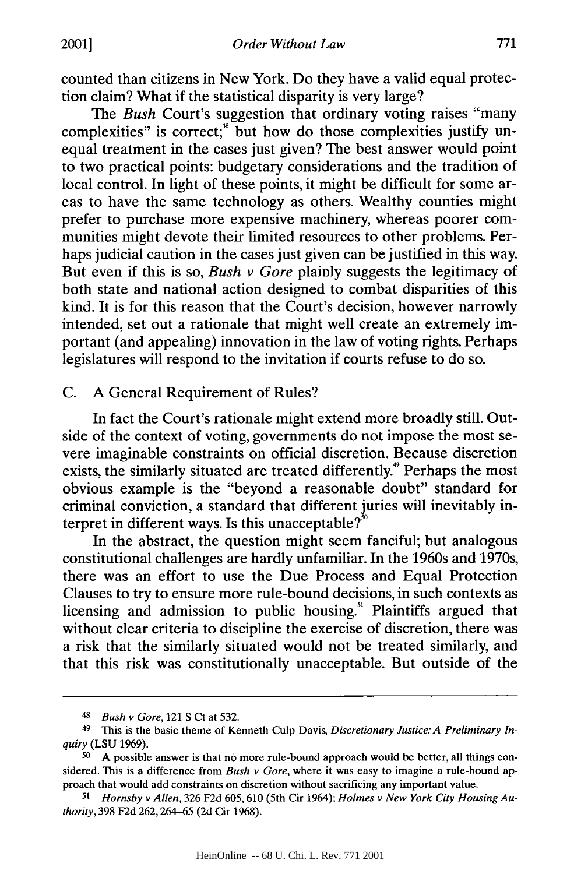counted than citizens in New York. Do they have a valid equal protection claim? What if the statistical disparity is very large?

The *Bush* Court's suggestion that ordinary voting raises "many complexities" is correct;<sup>4</sup> but how do those complexities justify unequal treatment in the cases just given? The best answer would point to two practical points: budgetary considerations and the tradition of local control. In light of these points, it might be difficult for some areas to have the same technology as others. Wealthy counties might prefer to purchase more expensive machinery, whereas poorer communities might devote their limited resources to other problems. Perhaps judicial caution in the cases just given can be justified in this way. But even if this is so, *Bush v Gore* plainly suggests the legitimacy of both state and national action designed to combat disparities of this kind. It is for this reason that the Court's decision, however narrowly intended, set out a rationale that might well create an extremely important (and appealing) innovation in the law of voting rights. Perhaps legislatures will respond to the invitation if courts refuse to do so.

#### C. A General Requirement of Rules?

In fact the Court's rationale might extend more broadly still. Outside of the context of voting, governments do not impose the most severe imaginable constraints on official discretion. Because discretion exists, the similarly situated are treated differently.<sup>49</sup> Perhaps the most obvious example is the "beyond a reasonable doubt" standard for criminal conviction, a standard that different juries will inevitably interpret in different ways. Is this unacceptable? $\mathbf{D}^{\mathbf{S}}$ 

In the abstract, the question might seem fanciful; but analogous constitutional challenges are hardly unfamiliar. In the 1960s and 1970s, there was an effort to use the Due Process and Equal Protection Clauses to try to ensure more rule-bound decisions, in such contexts as licensing and admission to public housing.' Plaintiffs argued that without clear criteria to discipline the exercise of discretion, there was a risk that the similarly situated would not be treated similarly, and that this risk was constitutionally unacceptable. But outside of the

<sup>48</sup> Bush v Gore, 121 S Ct at 532.

<sup>49</sup> This is the basic theme of Kenneth Culp Davis, *Discretionary Justice: A Preliminary Inquiry* (LSU 1969).

**<sup>50</sup>** A possible answer is that no more rule-bound approach would be better, all things considered. This is a difference from *Bush v Gore,* where it was easy to imagine a rule-bound approach that would add constraints on discretion without sacrificing any important value.

**<sup>51</sup>** *Hornsby v Allen,* 326 F2d 605,610 (5th Cir 1964); *Holmes v New York City Housing Authority,* 398 F2d 262,264-65 (2d Cir 1968).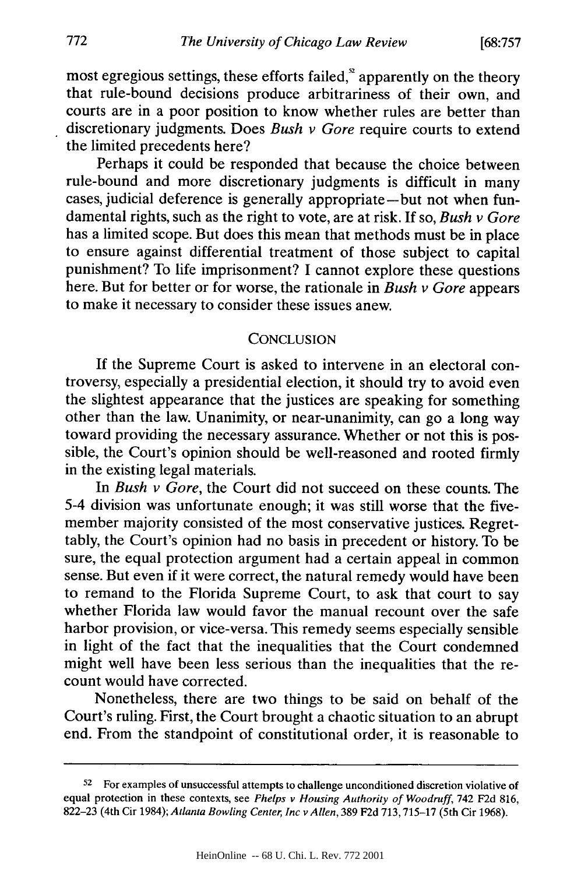most egregious settings, these efforts failed,<sup>2</sup> apparently on the theory that rule-bound decisions produce arbitrariness of their own, and courts are in a poor position to know whether rules are better than discretionary judgments. Does *Bush v Gore* require courts to extend the limited precedents here?

Perhaps it could be responded that because the choice between rule-bound and more discretionary judgments is difficult in many cases, judicial deference is generally appropriate—but not when fundamental rights, such as the right to vote, are at risk. If so, *Bush v Gore* has a limited scope. But does this mean that methods must be in place to ensure against differential treatment of those subject to capital punishment? To life imprisonment? I cannot explore these questions here. But for better or for worse, the rationale in *Bush v Gore* appears to make it necessary to consider these issues anew.

#### **CONCLUSION**

If the Supreme Court is asked to intervene in an electoral controversy, especially a presidential election, it should try to avoid even the slightest appearance that the justices are speaking for something other than the law. Unanimity, or near-unanimity, can go a long way toward providing the necessary assurance. Whether or not this is possible, the Court's opinion should be well-reasoned and rooted firmly in the existing legal materials.

In *Bush v Gore,* the Court did not succeed on these counts. The 5-4 division was unfortunate enough; it was still worse that the fivemember majority consisted of the most conservative justices. Regrettably, the Court's opinion had no basis in precedent or history. To be sure, the equal protection argument had a certain appeal in common sense. But even if it were correct, the natural remedy would have been to remand to the Florida Supreme Court, to ask that court to say whether Florida law would favor the manual recount over the safe harbor provision, or vice-versa. This remedy seems especially sensible in light of the fact that the inequalities that the Court condemned might well have been less serious than the inequalities that the recount would have corrected.

Nonetheless, there are two things to be said on behalf of the Court's ruling. First, the Court brought a chaotic situation to an abrupt end. From the standpoint of constitutional order, it is reasonable to

<sup>&</sup>lt;sup>52</sup> For examples of unsuccessful attempts to challenge unconditioned discretion violative of equal protection in these contexts, see *Phelps v Housing Authority of Woodruff,* 742 F2d 816, 822-23 (4th Cir 1984); *Atlanta Bowling Center, Inc v Allen,* 389 F2d 713,715-17 (5th Cir 1968).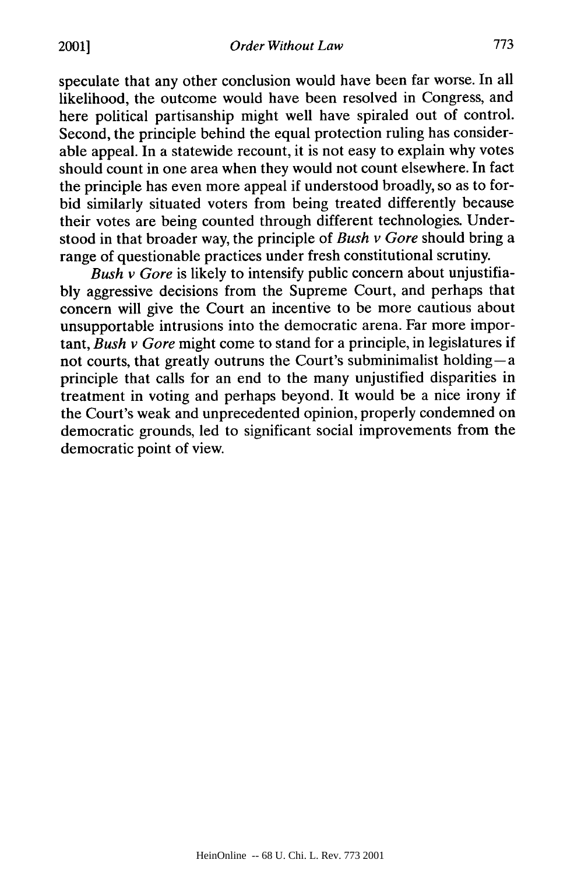speculate that any other conclusion would have been far worse. In all likelihood, the outcome would have been resolved in Congress, and here political partisanship might well have spiraled out of control. Second, the principle behind the equal protection ruling has considerable appeal. In a statewide recount, it is not easy to explain why votes should count in one area when they would not count elsewhere. In fact the principle has even more appeal if understood broadly, so as to forbid similarly situated voters from being treated differently because their votes are being counted through different technologies. Understood in that broader way, the principle of *Bush v Gore* should bring a range of questionable practices under fresh constitutional scrutiny.

*Bush v Gore* is likely to intensify public concern about unjustifia**bly** aggressive decisions from the Supreme Court, and perhaps that concern will give the Court an incentive to be more cautious about unsupportable intrusions into the democratic arena. Far more important, *Bush v Gore* might come to stand for a principle, in legislatures if not courts, that greatly outruns the Court's subminimalist holding **-a** principle that calls for an end to the many unjustified disparities in treatment in voting and perhaps beyond. It would be a nice irony if the Court's weak and unprecedented opinion, properly condemned on democratic grounds, led to significant social improvements from the democratic point of view.